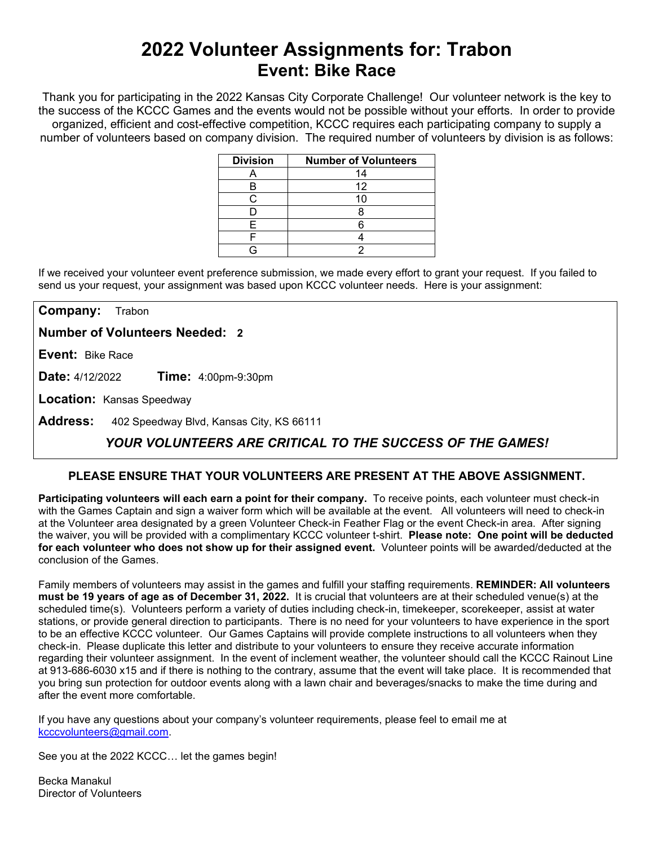# **2022 Volunteer Assignments for: Trabon Event: Bike Race**

Thank you for participating in the 2022 Kansas City Corporate Challenge! Our volunteer network is the key to the success of the KCCC Games and the events would not be possible without your efforts.In order to provide organized, efficient and cost-effective competition, KCCC requires each participating company to supply a number of volunteers based on company division. The required number of volunteers by division is as follows:

| <b>Division</b> | <b>Number of Volunteers</b> |
|-----------------|-----------------------------|
|                 | 14                          |
|                 | 12                          |
|                 | 10                          |
|                 |                             |
|                 |                             |
|                 |                             |
|                 |                             |

If we received your volunteer event preference submission, we made every effort to grant your request. If you failed to send us your request, your assignment was based upon KCCC volunteer needs. Here is your assignment:

**Company:** Trabon

**Number of Volunteers Needed: 2**

**Event:** Bike Race

**Date:** 4/12/2022 **Time:** 4:00pm-9:30pm

**Location:** Kansas Speedway

**Address:** 402 Speedway Blvd, Kansas City, KS 66111

## *YOUR VOLUNTEERS ARE CRITICAL TO THE SUCCESS OF THE GAMES!*

### **PLEASE ENSURE THAT YOUR VOLUNTEERS ARE PRESENT AT THE ABOVE ASSIGNMENT.**

**Participating volunteers will each earn a point for their company.** To receive points, each volunteer must check-in with the Games Captain and sign a waiver form which will be available at the event. All volunteers will need to check-in at the Volunteer area designated by a green Volunteer Check-in Feather Flag or the event Check-in area. After signing the waiver, you will be provided with a complimentary KCCC volunteer t-shirt. **Please note: One point will be deducted for each volunteer who does not show up for their assigned event.** Volunteer points will be awarded/deducted at the conclusion of the Games.

Family members of volunteers may assist in the games and fulfill your staffing requirements. **REMINDER: All volunteers must be 19 years of age as of December 31, 2022.** It is crucial that volunteers are at their scheduled venue(s) at the scheduled time(s). Volunteers perform a variety of duties including check-in, timekeeper, scorekeeper, assist at water stations, or provide general direction to participants. There is no need for your volunteers to have experience in the sport to be an effective KCCC volunteer. Our Games Captains will provide complete instructions to all volunteers when they check-in. Please duplicate this letter and distribute to your volunteers to ensure they receive accurate information regarding their volunteer assignment. In the event of inclement weather, the volunteer should call the KCCC Rainout Line at 913-686-6030 x15 and if there is nothing to the contrary, assume that the event will take place. It is recommended that you bring sun protection for outdoor events along with a lawn chair and beverages/snacks to make the time during and after the event more comfortable.

If you have any questions about your company's volunteer requirements, please feel to email me at [kcccvolunteers@gmail.com.](mailto:kcccvolunteers@gmail.com)

See you at the 2022 KCCC… let the games begin!

Becka Manakul Director of Volunteers